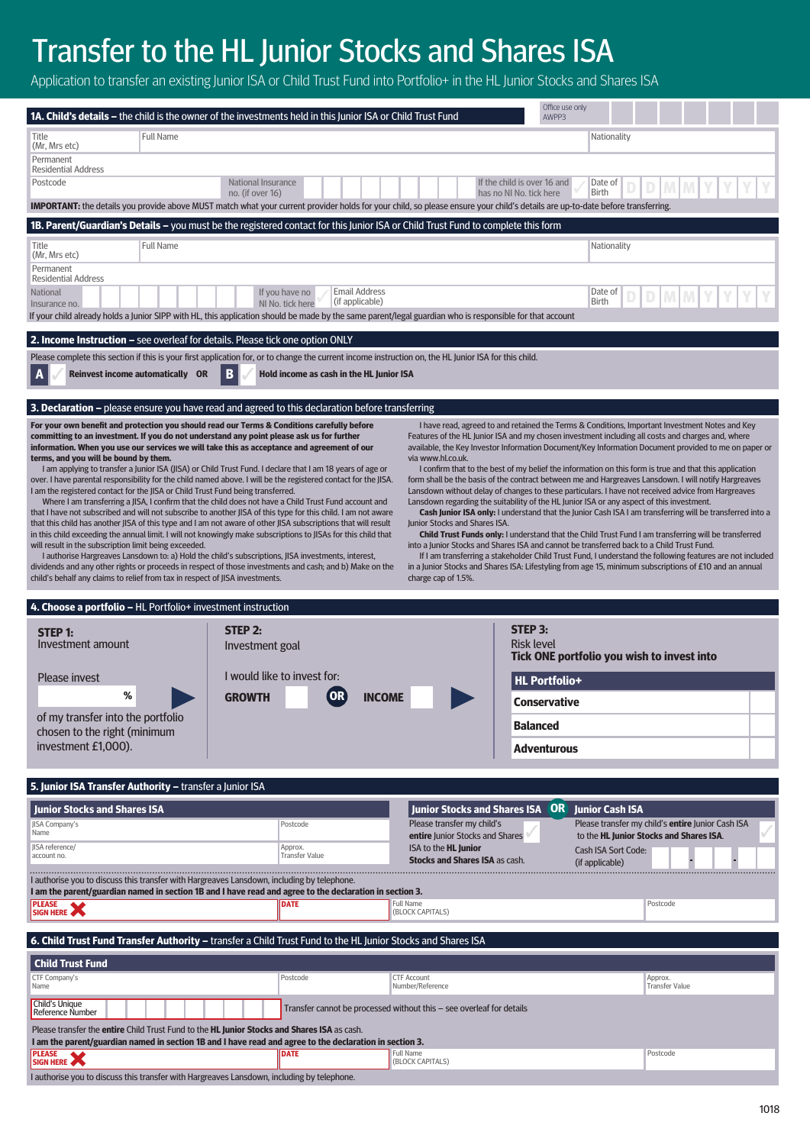# Transfer to the HL Junior Stocks and Shares ISA

Application to transfer an existing Junior ISA or Child Trust Fund into Portfolio+ in the HL Junior Stocks and Shares ISA

| 1A. Child's details - the child is the owner of the investments held in this Junior ISA or Child Trust Fund                                                                                                                                                                                                                                                                                                                                                                                                                                                                                                                                                                                                                                                                                                                                                                                                                                                                                                                                                                                                                                                                                                                                                                   |                                        |                                          |                                                                                                                                                                                                                                                                                                                                                                                                                                                                                                                                                                                                                                                                                                     | Office use only<br>AWPP3                                                                                                                                                                                                                                                                                                                                                                                                                       |                                         |                                                   |  |
|-------------------------------------------------------------------------------------------------------------------------------------------------------------------------------------------------------------------------------------------------------------------------------------------------------------------------------------------------------------------------------------------------------------------------------------------------------------------------------------------------------------------------------------------------------------------------------------------------------------------------------------------------------------------------------------------------------------------------------------------------------------------------------------------------------------------------------------------------------------------------------------------------------------------------------------------------------------------------------------------------------------------------------------------------------------------------------------------------------------------------------------------------------------------------------------------------------------------------------------------------------------------------------|----------------------------------------|------------------------------------------|-----------------------------------------------------------------------------------------------------------------------------------------------------------------------------------------------------------------------------------------------------------------------------------------------------------------------------------------------------------------------------------------------------------------------------------------------------------------------------------------------------------------------------------------------------------------------------------------------------------------------------------------------------------------------------------------------------|------------------------------------------------------------------------------------------------------------------------------------------------------------------------------------------------------------------------------------------------------------------------------------------------------------------------------------------------------------------------------------------------------------------------------------------------|-----------------------------------------|---------------------------------------------------|--|
| <b>Full Name</b><br>Title<br>(Mr, Mrs etc)                                                                                                                                                                                                                                                                                                                                                                                                                                                                                                                                                                                                                                                                                                                                                                                                                                                                                                                                                                                                                                                                                                                                                                                                                                    |                                        |                                          |                                                                                                                                                                                                                                                                                                                                                                                                                                                                                                                                                                                                                                                                                                     |                                                                                                                                                                                                                                                                                                                                                                                                                                                | Nationality                             |                                                   |  |
| Permanent<br><b>Residential Address</b>                                                                                                                                                                                                                                                                                                                                                                                                                                                                                                                                                                                                                                                                                                                                                                                                                                                                                                                                                                                                                                                                                                                                                                                                                                       |                                        |                                          |                                                                                                                                                                                                                                                                                                                                                                                                                                                                                                                                                                                                                                                                                                     |                                                                                                                                                                                                                                                                                                                                                                                                                                                |                                         |                                                   |  |
| Postcode                                                                                                                                                                                                                                                                                                                                                                                                                                                                                                                                                                                                                                                                                                                                                                                                                                                                                                                                                                                                                                                                                                                                                                                                                                                                      | National Insurance<br>no. (if over 16) |                                          |                                                                                                                                                                                                                                                                                                                                                                                                                                                                                                                                                                                                                                                                                                     | If the child is over 16 and<br>has no NJ No. tick here                                                                                                                                                                                                                                                                                                                                                                                         | Date of<br><b>Birth</b>                 |                                                   |  |
| <b>IMPORTANT:</b> the details you provide above MUST match what your current provider holds for your child, so please ensure your child's details are up-to-date before transferring.                                                                                                                                                                                                                                                                                                                                                                                                                                                                                                                                                                                                                                                                                                                                                                                                                                                                                                                                                                                                                                                                                         |                                        |                                          |                                                                                                                                                                                                                                                                                                                                                                                                                                                                                                                                                                                                                                                                                                     |                                                                                                                                                                                                                                                                                                                                                                                                                                                |                                         |                                                   |  |
| 1B. Parent/Guardian's Details - you must be the registered contact for this Junior ISA or Child Trust Fund to complete this form                                                                                                                                                                                                                                                                                                                                                                                                                                                                                                                                                                                                                                                                                                                                                                                                                                                                                                                                                                                                                                                                                                                                              |                                        |                                          |                                                                                                                                                                                                                                                                                                                                                                                                                                                                                                                                                                                                                                                                                                     |                                                                                                                                                                                                                                                                                                                                                                                                                                                |                                         |                                                   |  |
| <b>Full Name</b><br>Title<br>(Mr, Mrs etc)                                                                                                                                                                                                                                                                                                                                                                                                                                                                                                                                                                                                                                                                                                                                                                                                                                                                                                                                                                                                                                                                                                                                                                                                                                    |                                        |                                          |                                                                                                                                                                                                                                                                                                                                                                                                                                                                                                                                                                                                                                                                                                     |                                                                                                                                                                                                                                                                                                                                                                                                                                                | Nationality                             |                                                   |  |
| Permanent<br><b>Residential Address</b>                                                                                                                                                                                                                                                                                                                                                                                                                                                                                                                                                                                                                                                                                                                                                                                                                                                                                                                                                                                                                                                                                                                                                                                                                                       |                                        |                                          |                                                                                                                                                                                                                                                                                                                                                                                                                                                                                                                                                                                                                                                                                                     |                                                                                                                                                                                                                                                                                                                                                                                                                                                |                                         |                                                   |  |
| <b>Email Address</b><br><b>National</b><br>If you have no<br>(if applicable)<br>NI No. tick here<br>Insurance no.                                                                                                                                                                                                                                                                                                                                                                                                                                                                                                                                                                                                                                                                                                                                                                                                                                                                                                                                                                                                                                                                                                                                                             |                                        |                                          |                                                                                                                                                                                                                                                                                                                                                                                                                                                                                                                                                                                                                                                                                                     | Date of<br><b>Birth</b>                                                                                                                                                                                                                                                                                                                                                                                                                        |                                         |                                                   |  |
| If your child already holds a Junior SIPP with HL, this application should be made by the same parent/legal guardian who is responsible for that account                                                                                                                                                                                                                                                                                                                                                                                                                                                                                                                                                                                                                                                                                                                                                                                                                                                                                                                                                                                                                                                                                                                      |                                        |                                          |                                                                                                                                                                                                                                                                                                                                                                                                                                                                                                                                                                                                                                                                                                     |                                                                                                                                                                                                                                                                                                                                                                                                                                                |                                         |                                                   |  |
| 2. Income Instruction - see overleaf for details. Please tick one option ONLY                                                                                                                                                                                                                                                                                                                                                                                                                                                                                                                                                                                                                                                                                                                                                                                                                                                                                                                                                                                                                                                                                                                                                                                                 |                                        |                                          |                                                                                                                                                                                                                                                                                                                                                                                                                                                                                                                                                                                                                                                                                                     |                                                                                                                                                                                                                                                                                                                                                                                                                                                |                                         |                                                   |  |
| Please complete this section if this is your first application for, or to change the current income instruction on, the HL Junior ISA for this child.<br>Reinvest income automatically OR                                                                                                                                                                                                                                                                                                                                                                                                                                                                                                                                                                                                                                                                                                                                                                                                                                                                                                                                                                                                                                                                                     | В                                      | Hold income as cash in the HL Junior ISA |                                                                                                                                                                                                                                                                                                                                                                                                                                                                                                                                                                                                                                                                                                     |                                                                                                                                                                                                                                                                                                                                                                                                                                                |                                         |                                                   |  |
| <b>3. Declaration</b> – please ensure you have read and agreed to this declaration before transferring                                                                                                                                                                                                                                                                                                                                                                                                                                                                                                                                                                                                                                                                                                                                                                                                                                                                                                                                                                                                                                                                                                                                                                        |                                        |                                          |                                                                                                                                                                                                                                                                                                                                                                                                                                                                                                                                                                                                                                                                                                     |                                                                                                                                                                                                                                                                                                                                                                                                                                                |                                         |                                                   |  |
| information. When you use our services we will take this as acceptance and agreement of our<br>terms, and you will be bound by them.<br>I am applying to transfer a Junior ISA (JISA) or Child Trust Fund. I declare that I am 18 years of age or<br>over. I have parental responsibility for the child named above. I will be the registered contact for the JISA.<br>I am the registered contact for the JISA or Child Trust Fund being transferred.<br>Where I am transferring a JISA, I confirm that the child does not have a Child Trust Fund account and<br>that I have not subscribed and will not subscribe to another JISA of this type for this child. I am not aware<br>that this child has another JISA of this type and I am not aware of other JISA subscriptions that will result<br>in this child exceeding the annual limit. I will not knowingly make subscriptions to JISAs for this child that<br>will result in the subscription limit being exceeded.<br>I authorise Hargreaves Lansdown to: a) Hold the child's subscriptions, JISA investments, interest,<br>dividends and any other rights or proceeds in respect of those investments and cash; and b) Make on the<br>child's behalf any claims to relief from tax in respect of JISA investments. |                                        |                                          | available, the Key Investor Information Document/Key Information Document provided to me on paper or<br>via www.hl.co.uk.<br>form shall be the basis of the contract between me and Hargreaves Lansdown. I will notify Hargreaves<br>Lansdown without delay of changes to these particulars. I have not received advice from Hargreaves<br>Lansdown regarding the suitability of the HL Junior ISA or any aspect of this investment.<br>Junior Stocks and Shares ISA.<br>into a Junior Stocks and Shares ISA and cannot be transferred back to a Child Trust Fund.<br>in a Junior Stocks and Shares ISA: Lifestyling from age 15, minimum subscriptions of £10 and an annual<br>charge cap of 1.5%. | I confirm that to the best of my belief the information on this form is true and that this application<br>Cash Junior ISA only: I understand that the Junior Cash ISA I am transferring will be transferred into a<br><b>Child Trust Funds only:</b> I understand that the Child Trust Fund I am transferring will be transferred<br>If I am transferring a stakeholder Child Trust Fund, I understand the following features are not included |                                         |                                                   |  |
|                                                                                                                                                                                                                                                                                                                                                                                                                                                                                                                                                                                                                                                                                                                                                                                                                                                                                                                                                                                                                                                                                                                                                                                                                                                                               |                                        |                                          |                                                                                                                                                                                                                                                                                                                                                                                                                                                                                                                                                                                                                                                                                                     |                                                                                                                                                                                                                                                                                                                                                                                                                                                |                                         |                                                   |  |
| 4. Choose a portfolio - HL Portfolio+ investment instruction                                                                                                                                                                                                                                                                                                                                                                                                                                                                                                                                                                                                                                                                                                                                                                                                                                                                                                                                                                                                                                                                                                                                                                                                                  |                                        |                                          |                                                                                                                                                                                                                                                                                                                                                                                                                                                                                                                                                                                                                                                                                                     |                                                                                                                                                                                                                                                                                                                                                                                                                                                |                                         |                                                   |  |
| <b>STEP 1:</b><br>Investment amount                                                                                                                                                                                                                                                                                                                                                                                                                                                                                                                                                                                                                                                                                                                                                                                                                                                                                                                                                                                                                                                                                                                                                                                                                                           | STEP 2:<br>Investment goal             |                                          |                                                                                                                                                                                                                                                                                                                                                                                                                                                                                                                                                                                                                                                                                                     | STEP 3:<br><b>Risk level</b><br>Tick ONE portfolio you wish to invest into                                                                                                                                                                                                                                                                                                                                                                     |                                         |                                                   |  |
| <b>Please invest</b>                                                                                                                                                                                                                                                                                                                                                                                                                                                                                                                                                                                                                                                                                                                                                                                                                                                                                                                                                                                                                                                                                                                                                                                                                                                          |                                        | I would like to invest for:              |                                                                                                                                                                                                                                                                                                                                                                                                                                                                                                                                                                                                                                                                                                     | <b>HL Portfolio+</b>                                                                                                                                                                                                                                                                                                                                                                                                                           |                                         |                                                   |  |
| %                                                                                                                                                                                                                                                                                                                                                                                                                                                                                                                                                                                                                                                                                                                                                                                                                                                                                                                                                                                                                                                                                                                                                                                                                                                                             | <b>GROWTH</b>                          | 0R<br><b>INCOME</b>                      |                                                                                                                                                                                                                                                                                                                                                                                                                                                                                                                                                                                                                                                                                                     | <b>Conservative</b>                                                                                                                                                                                                                                                                                                                                                                                                                            |                                         |                                                   |  |
| of my transfer into the portfolio                                                                                                                                                                                                                                                                                                                                                                                                                                                                                                                                                                                                                                                                                                                                                                                                                                                                                                                                                                                                                                                                                                                                                                                                                                             |                                        |                                          |                                                                                                                                                                                                                                                                                                                                                                                                                                                                                                                                                                                                                                                                                                     | <b>Balanced</b>                                                                                                                                                                                                                                                                                                                                                                                                                                |                                         |                                                   |  |
| chosen to the right (minimum<br>investment £1,000).                                                                                                                                                                                                                                                                                                                                                                                                                                                                                                                                                                                                                                                                                                                                                                                                                                                                                                                                                                                                                                                                                                                                                                                                                           |                                        |                                          |                                                                                                                                                                                                                                                                                                                                                                                                                                                                                                                                                                                                                                                                                                     | Adventurous                                                                                                                                                                                                                                                                                                                                                                                                                                    |                                         |                                                   |  |
|                                                                                                                                                                                                                                                                                                                                                                                                                                                                                                                                                                                                                                                                                                                                                                                                                                                                                                                                                                                                                                                                                                                                                                                                                                                                               |                                        |                                          |                                                                                                                                                                                                                                                                                                                                                                                                                                                                                                                                                                                                                                                                                                     |                                                                                                                                                                                                                                                                                                                                                                                                                                                |                                         |                                                   |  |
| 5. Junior ISA Transfer Authority - transfer a Junior ISA                                                                                                                                                                                                                                                                                                                                                                                                                                                                                                                                                                                                                                                                                                                                                                                                                                                                                                                                                                                                                                                                                                                                                                                                                      |                                        |                                          |                                                                                                                                                                                                                                                                                                                                                                                                                                                                                                                                                                                                                                                                                                     |                                                                                                                                                                                                                                                                                                                                                                                                                                                |                                         |                                                   |  |
| <b>Junior Stocks and Shares ISA</b><br>JISA Company's                                                                                                                                                                                                                                                                                                                                                                                                                                                                                                                                                                                                                                                                                                                                                                                                                                                                                                                                                                                                                                                                                                                                                                                                                         |                                        | Postcode                                 | <b>Junior Stocks and Shares ISA OR</b><br>Please transfer my child's                                                                                                                                                                                                                                                                                                                                                                                                                                                                                                                                                                                                                                |                                                                                                                                                                                                                                                                                                                                                                                                                                                | <b>Junior Cash ISA</b>                  | Please transfer my child's entire Junior Cash ISA |  |
| Name<br>JISA reference/                                                                                                                                                                                                                                                                                                                                                                                                                                                                                                                                                                                                                                                                                                                                                                                                                                                                                                                                                                                                                                                                                                                                                                                                                                                       |                                        | Approx.                                  | entire Junior Stocks and Shares                                                                                                                                                                                                                                                                                                                                                                                                                                                                                                                                                                                                                                                                     |                                                                                                                                                                                                                                                                                                                                                                                                                                                | to the HL Junior Stocks and Shares ISA. |                                                   |  |
| account no.                                                                                                                                                                                                                                                                                                                                                                                                                                                                                                                                                                                                                                                                                                                                                                                                                                                                                                                                                                                                                                                                                                                                                                                                                                                                   |                                        | <b>Transfer Value</b>                    | ISA to the <b>HL Junior</b><br><b>Stocks and Shares ISA as cash.</b>                                                                                                                                                                                                                                                                                                                                                                                                                                                                                                                                                                                                                                |                                                                                                                                                                                                                                                                                                                                                                                                                                                | Cash ISA Sort Code:<br>(if applicable)  |                                                   |  |
| I authorise you to discuss this transfer with Hargreaves Lansdown, including by telephone.<br>I am the parent/guardian named in section 1B and I have read and agree to the declaration in section 3.                                                                                                                                                                                                                                                                                                                                                                                                                                                                                                                                                                                                                                                                                                                                                                                                                                                                                                                                                                                                                                                                         |                                        |                                          |                                                                                                                                                                                                                                                                                                                                                                                                                                                                                                                                                                                                                                                                                                     |                                                                                                                                                                                                                                                                                                                                                                                                                                                |                                         |                                                   |  |
| <b>PLEASE</b><br>SIGN HERE                                                                                                                                                                                                                                                                                                                                                                                                                                                                                                                                                                                                                                                                                                                                                                                                                                                                                                                                                                                                                                                                                                                                                                                                                                                    |                                        | <b>DATE</b>                              | <b>Full Name</b><br>(BLOCK CAPITALS)                                                                                                                                                                                                                                                                                                                                                                                                                                                                                                                                                                                                                                                                |                                                                                                                                                                                                                                                                                                                                                                                                                                                | Postcode                                |                                                   |  |
|                                                                                                                                                                                                                                                                                                                                                                                                                                                                                                                                                                                                                                                                                                                                                                                                                                                                                                                                                                                                                                                                                                                                                                                                                                                                               |                                        |                                          |                                                                                                                                                                                                                                                                                                                                                                                                                                                                                                                                                                                                                                                                                                     |                                                                                                                                                                                                                                                                                                                                                                                                                                                |                                         |                                                   |  |
| 6. Child Trust Fund Transfer Authority - transfer a Child Trust Fund to the HL Junior Stocks and Shares ISA                                                                                                                                                                                                                                                                                                                                                                                                                                                                                                                                                                                                                                                                                                                                                                                                                                                                                                                                                                                                                                                                                                                                                                   |                                        |                                          |                                                                                                                                                                                                                                                                                                                                                                                                                                                                                                                                                                                                                                                                                                     |                                                                                                                                                                                                                                                                                                                                                                                                                                                |                                         |                                                   |  |
| <b>Child Trust Fund</b><br>CTF Company's                                                                                                                                                                                                                                                                                                                                                                                                                                                                                                                                                                                                                                                                                                                                                                                                                                                                                                                                                                                                                                                                                                                                                                                                                                      |                                        | Postcode                                 | <b>CTF Account</b>                                                                                                                                                                                                                                                                                                                                                                                                                                                                                                                                                                                                                                                                                  |                                                                                                                                                                                                                                                                                                                                                                                                                                                | Approx.                                 |                                                   |  |
| Name<br>Child's Unique                                                                                                                                                                                                                                                                                                                                                                                                                                                                                                                                                                                                                                                                                                                                                                                                                                                                                                                                                                                                                                                                                                                                                                                                                                                        |                                        |                                          | Number/Reference                                                                                                                                                                                                                                                                                                                                                                                                                                                                                                                                                                                                                                                                                    |                                                                                                                                                                                                                                                                                                                                                                                                                                                | <b>Transfer Value</b>                   |                                                   |  |
| <b>Reference Number</b><br>Please transfer the entire Child Trust Fund to the HL Junior Stocks and Shares ISA as cash.                                                                                                                                                                                                                                                                                                                                                                                                                                                                                                                                                                                                                                                                                                                                                                                                                                                                                                                                                                                                                                                                                                                                                        |                                        |                                          | Transfer cannot be processed without this - see overleaf for details                                                                                                                                                                                                                                                                                                                                                                                                                                                                                                                                                                                                                                |                                                                                                                                                                                                                                                                                                                                                                                                                                                |                                         |                                                   |  |
| I am the parent/guardian named in section 1B and I have read and agree to the declaration in section 3.<br><b>PLEASE</b><br>SIGN HERE                                                                                                                                                                                                                                                                                                                                                                                                                                                                                                                                                                                                                                                                                                                                                                                                                                                                                                                                                                                                                                                                                                                                         |                                        | DATE                                     | <b>Full Name</b>                                                                                                                                                                                                                                                                                                                                                                                                                                                                                                                                                                                                                                                                                    |                                                                                                                                                                                                                                                                                                                                                                                                                                                | Postcode                                |                                                   |  |